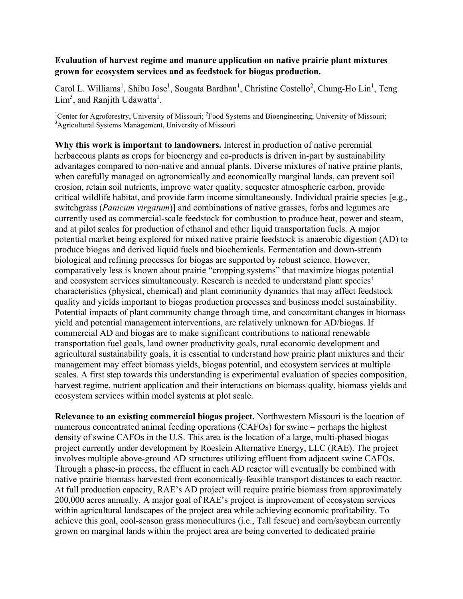## **Evaluation of harvest regime and manure application on native prairie plant mixtures grown for ecosystem services and as feedstock for biogas production.**

Carol L. Williams<sup>1</sup>, Shibu Jose<sup>1</sup>, Sougata Bardhan<sup>1</sup>, Christine Costello<sup>2</sup>, Chung-Ho Lin<sup>1</sup>, Teng  $\text{Lim}^3$ , and Ranjith Udawatta<sup>1</sup>.

<sup>1</sup>Center for Agroforestry, University of Missouri; <sup>2</sup>Food Systems and Bioengineering, University of Missouri; <sup>3</sup>Agricultural Systems Management, University of Missouri

**Why this work is important to landowners.** Interest in production of native perennial herbaceous plants as crops for bioenergy and co-products is driven in-part by sustainability advantages compared to non-native and annual plants. Diverse mixtures of native prairie plants, when carefully managed on agronomically and economically marginal lands, can prevent soil erosion, retain soil nutrients, improve water quality, sequester atmospheric carbon, provide critical wildlife habitat, and provide farm income simultaneously. Individual prairie species [e.g., switchgrass (*Panicum virgatum*)] and combinations of native grasses, forbs and legumes are currently used as commercial-scale feedstock for combustion to produce heat, power and steam, and at pilot scales for production of ethanol and other liquid transportation fuels. A major potential market being explored for mixed native prairie feedstock is anaerobic digestion (AD) to produce biogas and derived liquid fuels and biochemicals. Fermentation and down-stream biological and refining processes for biogas are supported by robust science. However, comparatively less is known about prairie "cropping systems" that maximize biogas potential and ecosystem services simultaneously. Research is needed to understand plant species' characteristics (physical, chemical) and plant community dynamics that may affect feedstock quality and yields important to biogas production processes and business model sustainability. Potential impacts of plant community change through time, and concomitant changes in biomass yield and potential management interventions, are relatively unknown for AD/biogas. If commercial AD and biogas are to make significant contributions to national renewable transportation fuel goals, land owner productivity goals, rural economic development and agricultural sustainability goals, it is essential to understand how prairie plant mixtures and their management may effect biomass yields, biogas potential, and ecosystem services at multiple scales. A first step towards this understanding is experimental evaluation of species composition, harvest regime, nutrient application and their interactions on biomass quality, biomass yields and ecosystem services within model systems at plot scale.

**Relevance to an existing commercial biogas project.** Northwestern Missouri is the location of numerous concentrated animal feeding operations (CAFOs) for swine – perhaps the highest density of swine CAFOs in the U.S. This area is the location of a large, multi-phased biogas project currently under development by Roeslein Alternative Energy, LLC (RAE). The project involves multiple above-ground AD structures utilizing effluent from adjacent swine CAFOs. Through a phase-in process, the effluent in each AD reactor will eventually be combined with native prairie biomass harvested from economically-feasible transport distances to each reactor. At full production capacity, RAE's AD project will require prairie biomass from approximately 200,000 acres annually. A major goal of RAE's project is improvement of ecosystem services within agricultural landscapes of the project area while achieving economic profitability. To achieve this goal, cool-season grass monocultures (i.e., Tall fescue) and corn/soybean currently grown on marginal lands within the project area are being converted to dedicated prairie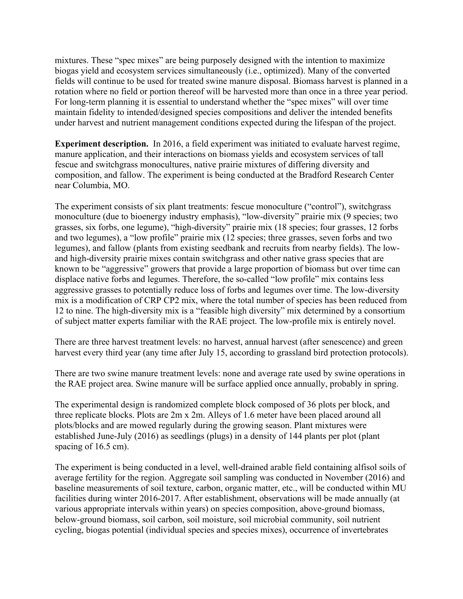mixtures. These "spec mixes" are being purposely designed with the intention to maximize biogas yield and ecosystem services simultaneously (i.e., optimized). Many of the converted fields will continue to be used for treated swine manure disposal. Biomass harvest is planned in a rotation where no field or portion thereof will be harvested more than once in a three year period. For long-term planning it is essential to understand whether the "spec mixes" will over time maintain fidelity to intended/designed species compositions and deliver the intended benefits under harvest and nutrient management conditions expected during the lifespan of the project.

**Experiment description.** In 2016, a field experiment was initiated to evaluate harvest regime, manure application, and their interactions on biomass yields and ecosystem services of tall fescue and switchgrass monocultures, native prairie mixtures of differing diversity and composition, and fallow. The experiment is being conducted at the Bradford Research Center near Columbia, MO.

The experiment consists of six plant treatments: fescue monoculture ("control"), switchgrass monoculture (due to bioenergy industry emphasis), "low-diversity" prairie mix (9 species; two grasses, six forbs, one legume), "high-diversity" prairie mix (18 species; four grasses, 12 forbs and two legumes), a "low profile" prairie mix (12 species; three grasses, seven forbs and two legumes), and fallow (plants from existing seedbank and recruits from nearby fields). The lowand high-diversity prairie mixes contain switchgrass and other native grass species that are known to be "aggressive" growers that provide a large proportion of biomass but over time can displace native forbs and legumes. Therefore, the so-called "low profile" mix contains less aggressive grasses to potentially reduce loss of forbs and legumes over time. The low-diversity mix is a modification of CRP CP2 mix, where the total number of species has been reduced from 12 to nine. The high-diversity mix is a "feasible high diversity" mix determined by a consortium of subject matter experts familiar with the RAE project. The low-profile mix is entirely novel.

There are three harvest treatment levels: no harvest, annual harvest (after senescence) and green harvest every third year (any time after July 15, according to grassland bird protection protocols).

There are two swine manure treatment levels: none and average rate used by swine operations in the RAE project area. Swine manure will be surface applied once annually, probably in spring.

The experimental design is randomized complete block composed of 36 plots per block, and three replicate blocks. Plots are 2m x 2m. Alleys of 1.6 meter have been placed around all plots/blocks and are mowed regularly during the growing season. Plant mixtures were established June-July (2016) as seedlings (plugs) in a density of 144 plants per plot (plant spacing of 16.5 cm).

The experiment is being conducted in a level, well-drained arable field containing alfisol soils of average fertility for the region. Aggregate soil sampling was conducted in November (2016) and baseline measurements of soil texture, carbon, organic matter, etc., will be conducted within MU facilities during winter 2016-2017. After establishment, observations will be made annually (at various appropriate intervals within years) on species composition, above-ground biomass, below-ground biomass, soil carbon, soil moisture, soil microbial community, soil nutrient cycling, biogas potential (individual species and species mixes), occurrence of invertebrates